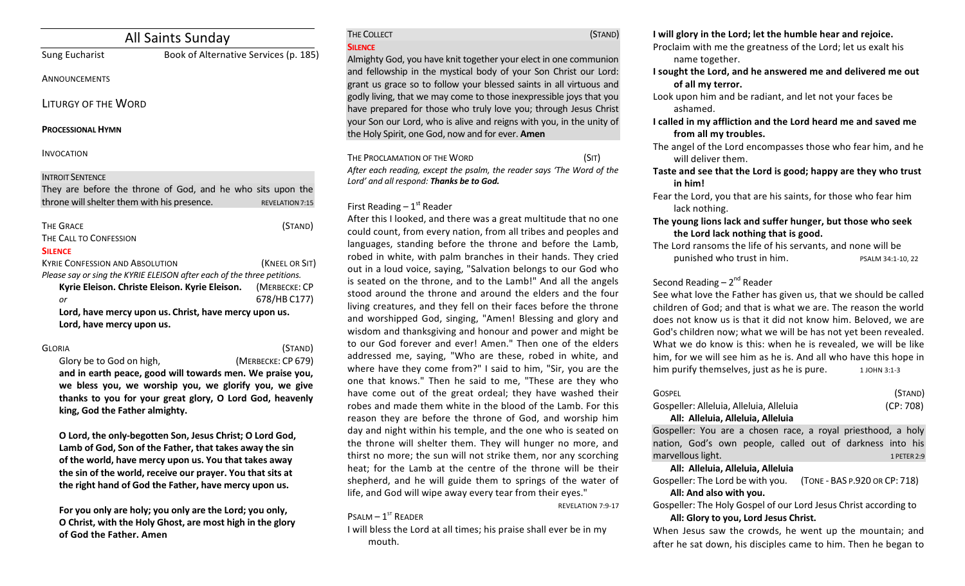| All Saints Sunday                                                                                                                     |                                       |                               |
|---------------------------------------------------------------------------------------------------------------------------------------|---------------------------------------|-------------------------------|
| Sung Eucharist                                                                                                                        | Book of Alternative Services (p. 185) |                               |
| ANNOUNCEMENTS                                                                                                                         |                                       |                               |
| <b>LITURGY OF THE WORD</b>                                                                                                            |                                       |                               |
| <b>PROCESSIONAL HYMN</b>                                                                                                              |                                       |                               |
| <b>INVOCATION</b>                                                                                                                     |                                       |                               |
| <b>INTROIT SENTENCE</b><br>They are before the throne of God, and he who sits upon the<br>throne will shelter them with his presence. |                                       | <b>REVELATION 7:15</b>        |
| <b>THE GRACE</b><br>THE CALL TO CONFESSION<br><b>SILENCE</b>                                                                          |                                       | (STAND)                       |
| <b>KYRIE CONFESSION AND ABSOLUTION</b><br>Please say or sing the KYRIE ELEISON after each of the three petitions.                     |                                       | (KNEEL OR SIT)                |
| Kyrie Eleison. Christe Eleison. Kyrie Eleison.<br>or                                                                                  |                                       | (MERBECKE: CP<br>678/HB C177) |
| Lord, have mercy upon us. Christ, have mercy upon us.<br>Lord, have mercy upon us.                                                    |                                       |                               |

GLORIA (STAND) Glory be to God on high. *CODE* (MERBECKE: CP 679)

and in earth peace, good will towards men. We praise you, we bless you, we worship you, we glorify you, we give thanks to you for your great glory, O Lord God, heavenly king, God the Father almighty.

**O** Lord, the only-begotten Son, Jesus Christ; O Lord God, Lamb of God, Son of the Father, that takes away the sin of the world, have mercy upon us. You that takes away the sin of the world, receive our prayer. You that sits at the right hand of God the Father, have mercy upon us.

For you only are holy; you only are the Lord; you only, **O** Christ, with the Holy Ghost, are most high in the glory **of God the Father. Amen**

# THE COLLECT **THE COLLECT COLLECT COLLECT COLLECT COLLECT COLLECT COLLECT COLLECT COLLECT COLLECT SILENCE**

Almighty God, you have knit together your elect in one communion and fellowship in the mystical body of your Son Christ our Lord: grant us grace so to follow your blessed saints in all virtuous and godly living, that we may come to those inexpressible joys that you have prepared for those who truly love you; through Jesus Christ your Son our Lord, who is alive and reigns with you, in the unity of the Holy Spirit, one God, now and for ever. **Amen** 

THE PROCLAMATION OF THE WORD (SIT) After each reading, except the psalm, the reader says 'The Word of the Lord' and all respond: Thanks be to God.

# First Reading  $-1<sup>st</sup>$  Reader

After this I looked, and there was a great multitude that no one could count, from every nation, from all tribes and peoples and languages, standing before the throne and before the Lamb, robed in white, with palm branches in their hands. They cried out in a loud voice, saying, "Salvation belongs to our God who is seated on the throne, and to the Lamb!" And all the angels stood around the throne and around the elders and the four living creatures, and they fell on their faces before the throne and worshipped God, singing, "Amen! Blessing and glory and wisdom and thanksgiving and honour and power and might be to our God forever and ever! Amen." Then one of the elders addressed me, saying, "Who are these, robed in white, and where have they come from?" I said to him, "Sir, you are the one that knows." Then he said to me, "These are they who have come out of the great ordeal; they have washed their robes and made them white in the blood of the Lamb. For this reason they are before the throne of God, and worship him day and night within his temple, and the one who is seated on the throne will shelter them. They will hunger no more, and thirst no more; the sun will not strike them, nor any scorching heat; for the Lamb at the centre of the throne will be their shepherd, and he will guide them to springs of the water of life, and God will wipe away every tear from their eyes."

REVELATION 7:9-17

# $P$ SALM  $-1$ <sup>ST</sup> READER

I will bless the Lord at all times; his praise shall ever be in my mouth. 

## **I** will glory in the Lord; let the humble hear and rejoice.

- Proclaim with me the greatness of the Lord; let us exalt his name together.
- **I** sought the Lord, and he answered me and delivered me out of all my terror.
- Look upon him and be radiant, and let not your faces be ashamed.
- **I** called in my affliction and the Lord heard me and saved me from all my troubles.
- The angel of the Lord encompasses those who fear him, and he will deliver them.
- Taste and see that the Lord is good; happy are they who trust **in him!**
- Fear the Lord, you that are his saints, for those who fear him lack nothing.
- The young lions lack and suffer hunger, but those who seek the Lord lack nothing that is good.
- The Lord ransoms the life of his servants, and none will be punished who trust in him. PSALM 34:1-10, 22

# Second Reading  $-2^{nd}$  Reader

See what love the Father has given us, that we should be called children of God; and that is what we are. The reason the world does not know us is that it did not know him. Beloved, we are God's children now; what we will be has not yet been revealed. What we do know is this: when he is revealed, we will be like him, for we will see him as he is. And all who have this hope in him purify themselves, just as he is pure.  $1$  JOHN 3:1-3

| GOSPEL                                  | (STAND)   |
|-----------------------------------------|-----------|
| Gospeller: Alleluia, Alleluia, Alleluia | (CP: 708) |
| All: Alleluia, Alleluia, Alleluia       |           |

Gospeller: You are a chosen race, a royal priesthood, a holy nation, God's own people, called out of darkness into his marvellous light. 1 PETER 2:9

**All: Alleluia, Alleluia, Alleluia**

Gospeller: The Lord be with you. (TONE - BAS P.920 OR CP: 718) All: And also with you.

Gospeller: The Holy Gospel of our Lord Jesus Christ according to All: Glory to you, Lord Jesus Christ.

When Jesus saw the crowds, he went up the mountain; and after he sat down, his disciples came to him. Then he began to